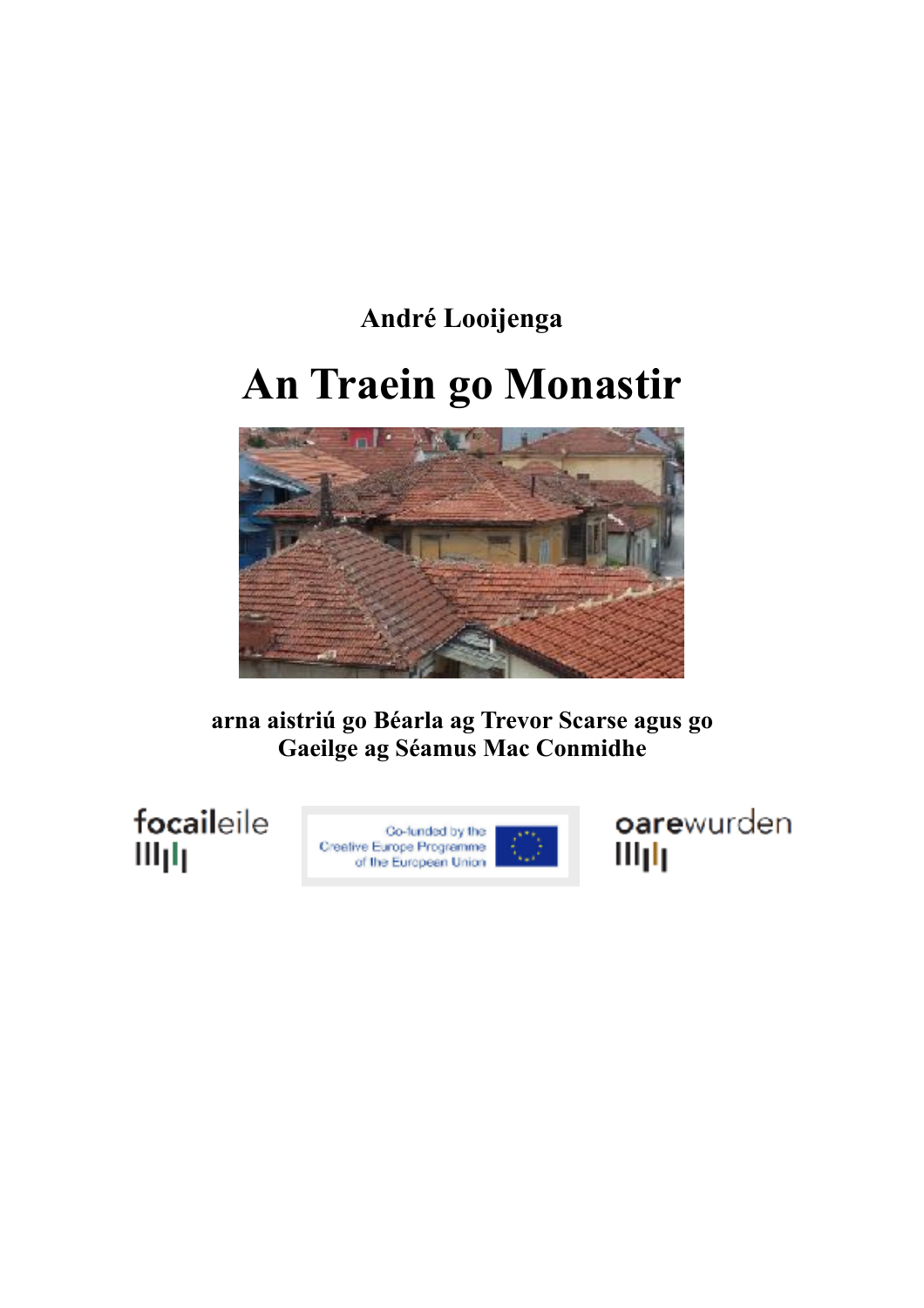# **André Looijenga An Traein go Monastir**



**arna aistriú go Béarla ag Trevor Scarse agus go Gaeilge ag Séamus Mac Conmidhe** 

focaileile Шщ



oarewurden Illph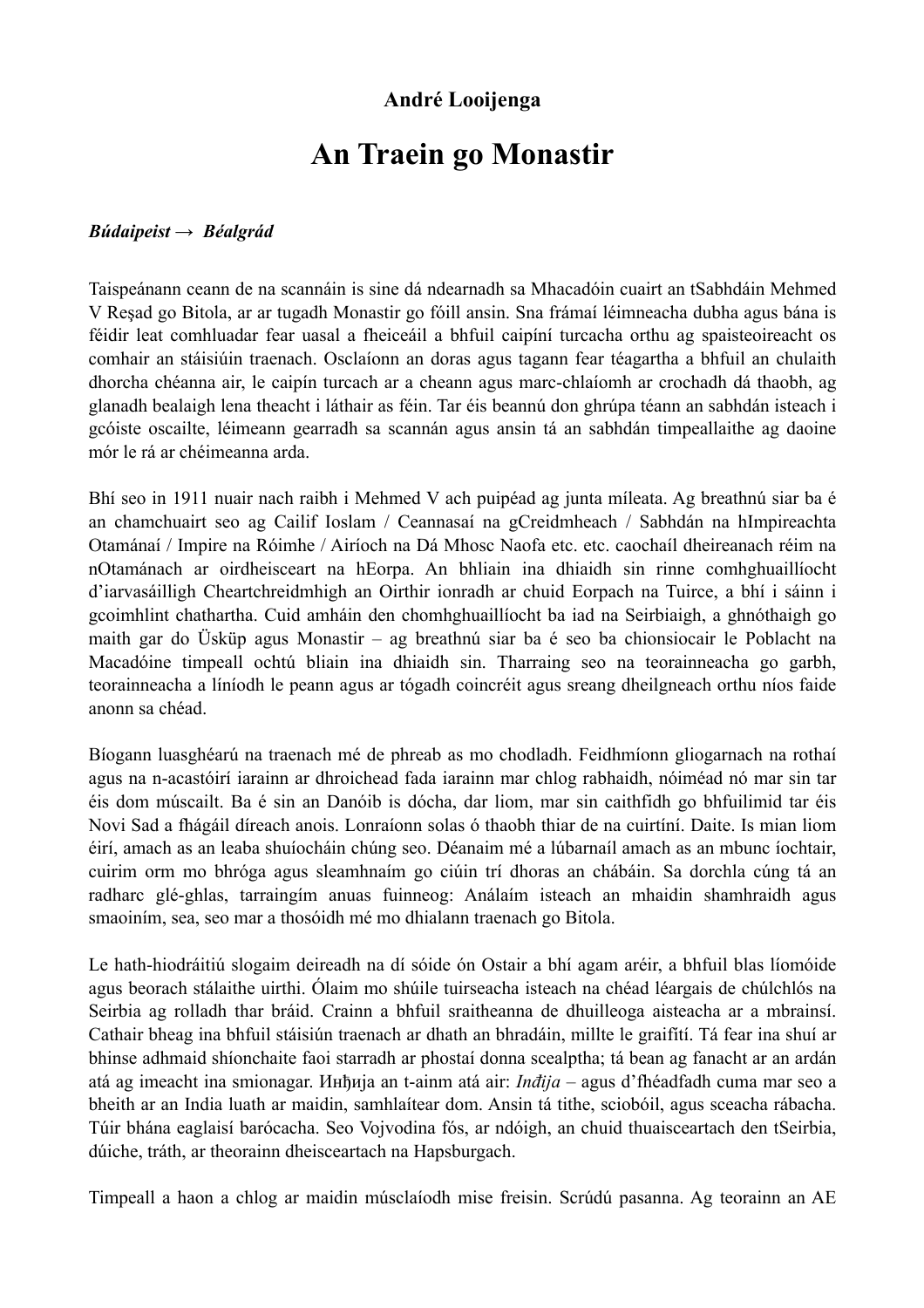## **André Looijenga**

# **An Traein go Monastir**

#### *Búdaipeist → Béalgrád*

Taispeánann ceann de na scannáin is sine dá ndearnadh sa Mhacadóin cuairt an tSabhdáin Mehmed V Reşad go Bitola, ar ar tugadh Monastir go fóill ansin. Sna frámaí léimneacha dubha agus bána is féidir leat comhluadar fear uasal a fheiceáil a bhfuil caipíní turcacha orthu ag spaisteoireacht os comhair an stáisiúin traenach. Osclaíonn an doras agus tagann fear téagartha a bhfuil an chulaith dhorcha chéanna air, le caipín turcach ar a cheann agus marc-chlaíomh ar crochadh dá thaobh, ag glanadh bealaigh lena theacht i láthair as féin. Tar éis beannú don ghrúpa téann an sabhdán isteach i gcóiste oscailte, léimeann gearradh sa scannán agus ansin tá an sabhdán timpeallaithe ag daoine mór le rá ar chéimeanna arda.

Bhí seo in 1911 nuair nach raibh i Mehmed V ach puipéad ag junta míleata. Ag breathnú siar ba é an chamchuairt seo ag Cailif Ioslam / Ceannasaí na gCreidmheach / Sabhdán na hImpireachta Otamánaí / Impire na Róimhe / Airíoch na Dá Mhosc Naofa etc. etc. caochaíl dheireanach réim na nOtamánach ar oirdheisceart na hEorpa. An bhliain ina dhiaidh sin rinne comhghuaillíocht d'iarvasáilligh Cheartchreidmhigh an Oirthir ionradh ar chuid Eorpach na Tuirce, a bhí i sáinn i gcoimhlint chathartha. Cuid amháin den chomhghuaillíocht ba iad na Seirbiaigh, a ghnóthaigh go maith gar do Üsküp agus Monastir – ag breathnú siar ba é seo ba chionsiocair le Poblacht na Macadóine timpeall ochtú bliain ina dhiaidh sin. Tharraing seo na teorainneacha go garbh, teorainneacha a líníodh le peann agus ar tógadh coincréit agus sreang dheilgneach orthu níos faide anonn sa chéad.

Bíogann luasghéarú na traenach mé de phreab as mo chodladh. Feidhmíonn gliogarnach na rothaí agus na n-acastóirí iarainn ar dhroichead fada iarainn mar chlog rabhaidh, nóiméad nó mar sin tar éis dom múscailt. Ba é sin an Danóib is dócha, dar liom, mar sin caithfidh go bhfuilimid tar éis Novi Sad a fhágáil díreach anois. Lonraíonn solas ó thaobh thiar de na cuirtíní. Daite. Is mian liom éirí, amach as an leaba shuíocháin chúng seo. Déanaim mé a lúbarnaíl amach as an mbunc íochtair, cuirim orm mo bhróga agus sleamhnaím go ciúin trí dhoras an chábáin. Sa dorchla cúng tá an radharc glé-ghlas, tarraingím anuas fuinneog: Análaím isteach an mhaidin shamhraidh agus smaoiním, sea, seo mar a thosóidh mé mo dhialann traenach go Bitola.

Le hath-hiodráitiú slogaim deireadh na dí sóide ón Ostair a bhí agam aréir, a bhfuil blas líomóide agus beorach stálaithe uirthi. Ólaim mo shúile tuirseacha isteach na chéad léargais de chúlchlós na Seirbia ag rolladh thar bráid. Crainn a bhfuil sraitheanna de dhuilleoga aisteacha ar a mbrainsí. Cathair bheag ina bhfuil stáisiún traenach ar dhath an bhradáin, millte le graifítí. Tá fear ina shuí ar bhinse adhmaid shíonchaite faoi starradh ar phostaí donna scealptha; tá bean ag fanacht ar an ardán atá ag imeacht ina smionagar. Инђиja an t-ainm atá air: *Inđija* – agus d'fhéadfadh cuma mar seo a bheith ar an India luath ar maidin, samhlaítear dom. Ansin tá tithe, sciobóil, agus sceacha rábacha. Túir bhána eaglaisí barócacha. Seo Vojvodina fós, ar ndóigh, an chuid thuaisceartach den tSeirbia, dúiche, tráth, ar theorainn dheisceartach na Hapsburgach.

Timpeall a haon a chlog ar maidin músclaíodh mise freisin. Scrúdú pasanna. Ag teorainn an AE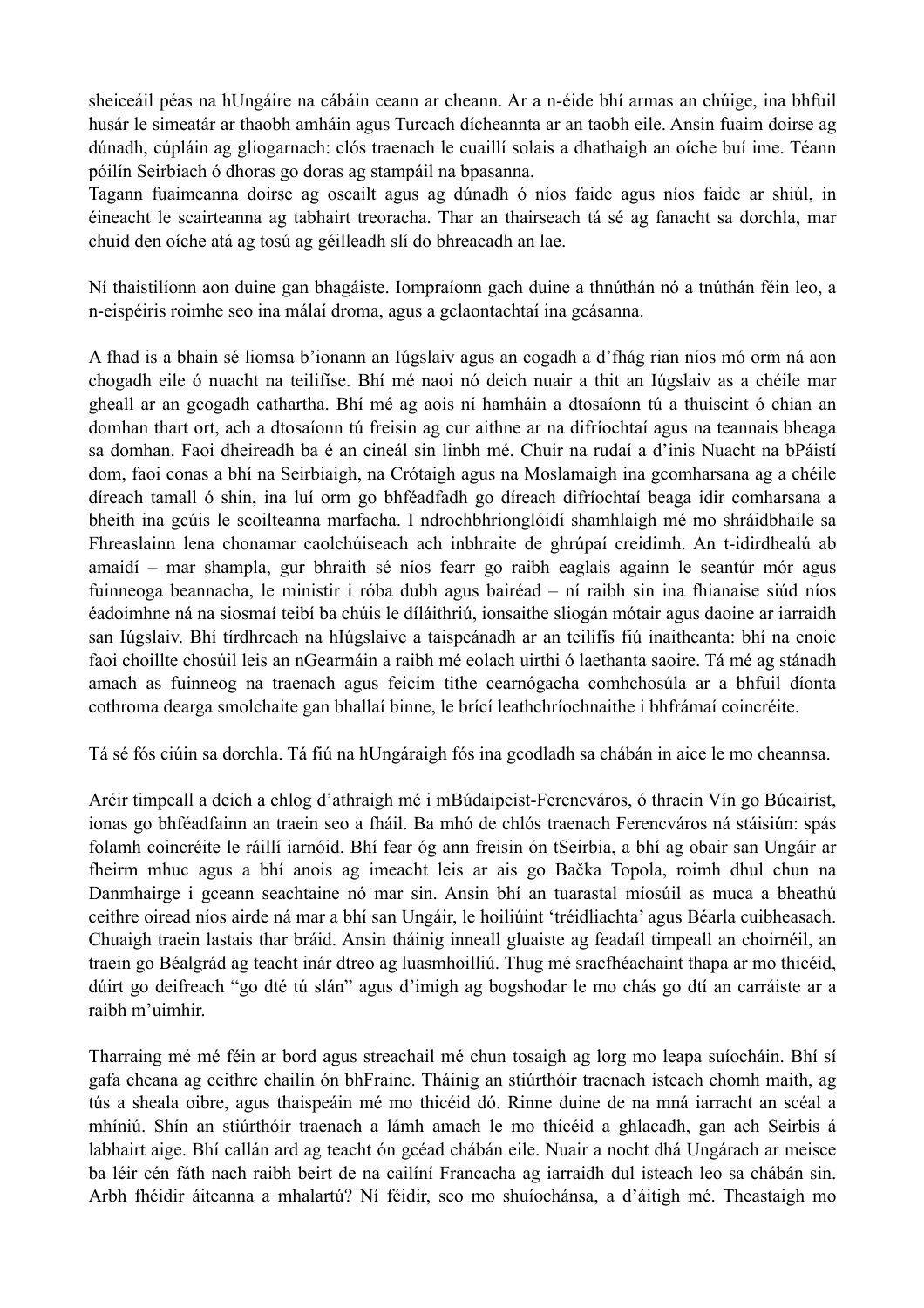sheiceáil péas na hUngáire na cábáin ceann ar cheann. Ar a n-éide bhí armas an chúige, ina bhfuil husár le simeatár ar thaobh amháin agus Turcach dícheannta ar an taobh eile. Ansin fuaim doirse ag dúnadh, cúpláin ag gliogarnach: clós traenach le cuaillí solais a dhathaigh an oíche buí ime. Téann póilín Seirbiach ó dhoras go doras ag stampáil na bpasanna.

Tagann fuaimeanna doirse ag oscailt agus ag dúnadh ó níos faide agus níos faide ar shiúl, in éineacht le scairteanna ag tabhairt treoracha. Thar an thairseach tá sé ag fanacht sa dorchla, mar chuid den oíche atá ag tosú ag géilleadh slí do bhreacadh an lae.

Ní thaistilíonn aon duine gan bhagáiste. Iompraíonn gach duine a thnúthán nó a tnúthán féin leo, a n-eispéiris roimhe seo ina málaí droma, agus a gclaontachtaí ina gcásanna.

A fhad is a bhain sé liomsa b'ionann an Iúgslaiv agus an cogadh a d'fhág rian níos mó orm ná aon chogadh eile ó nuacht na teilifíse. Bhí mé naoi nó deich nuair a thit an Iúgslaiv as a chéile mar gheall ar an gcogadh cathartha. Bhí mé ag aois ní hamháin a dtosaíonn tú a thuiscint ó chian an domhan thart ort, ach a dtosaíonn tú freisin ag cur aithne ar na difríochtaí agus na teannais bheaga sa domhan. Faoi dheireadh ba é an cineál sin linbh mé. Chuir na rudaí a d'inis Nuacht na bPáistí dom, faoi conas a bhí na Seirbiaigh, na Crótaigh agus na Moslamaigh ina gcomharsana ag a chéile díreach tamall ó shin, ina luí orm go bhféadfadh go díreach difríochtaí beaga idir comharsana a bheith ina gcúis le scoilteanna marfacha. I ndrochbhrionglóidí shamhlaigh mé mo shráidbhaile sa Fhreaslainn lena chonamar caolchúiseach ach inbhraite de ghrúpaí creidimh. An t-idirdhealú ab amaidí – mar shampla, gur bhraith sé níos fearr go raibh eaglais againn le seantúr mór agus fuinneoga beannacha, le ministir i róba dubh agus bairéad – ní raibh sin ina fhianaise siúd níos éadoimhne ná na siosmaí teibí ba chúis le díláithriú, ionsaithe sliogán mótair agus daoine ar iarraidh san Iúgslaiv. Bhí tírdhreach na hIúgslaive a taispeánadh ar an teilifís fiú inaitheanta: bhí na cnoic faoi choillte chosúil leis an nGearmáin a raibh mé eolach uirthi ó laethanta saoire. Tá mé ag stánadh amach as fuinneog na traenach agus feicim tithe cearnógacha comhchosúla ar a bhfuil díonta cothroma dearga smolchaite gan bhallaí binne, le brící leathchríochnaithe i bhfrámaí coincréite.

Tá sé fós ciúin sa dorchla. Tá fiú na hUngáraigh fós ina gcodladh sa chábán in aice le mo cheannsa.

Aréir timpeall a deich a chlog d'athraigh mé i mBúdaipeist-Ferencváros, ó thraein Vín go Búcairist, ionas go bhféadfainn an traein seo a fháil. Ba mhó de chlós traenach Ferencváros ná stáisiún: spás folamh coincréite le ráillí iarnóid. Bhí fear óg ann freisin ón tSeirbia, a bhí ag obair san Ungáir ar fheirm mhuc agus a bhí anois ag imeacht leis ar ais go Bačka Topola, roimh dhul chun na Danmhairge i gceann seachtaine nó mar sin. Ansin bhí an tuarastal míosúil as muca a bheathú ceithre oiread níos airde ná mar a bhí san Ungáir, le hoiliúint 'tréidliachta' agus Béarla cuibheasach. Chuaigh traein lastais thar bráid. Ansin tháinig inneall gluaiste ag feadaíl timpeall an choirnéil, an traein go Béalgrád ag teacht inár dtreo ag luasmhoilliú. Thug mé sracfhéachaint thapa ar mo thicéid, dúirt go deifreach "go dté tú slán" agus d'imigh ag bogshodar le mo chás go dtí an carráiste ar a raibh m'uimhir.

Tharraing mé mé féin ar bord agus streachail mé chun tosaigh ag lorg mo leapa suíocháin. Bhí sí gafa cheana ag ceithre chailín ón bhFrainc. Tháinig an stiúrthóir traenach isteach chomh maith, ag tús a sheala oibre, agus thaispeáin mé mo thicéid dó. Rinne duine de na mná iarracht an scéal a mhíniú. Shín an stiúrthóir traenach a lámh amach le mo thicéid a ghlacadh, gan ach Seirbis á labhairt aige. Bhí callán ard ag teacht ón gcéad chábán eile. Nuair a nocht dhá Ungárach ar meisce ba léir cén fáth nach raibh beirt de na cailíní Francacha ag iarraidh dul isteach leo sa chábán sin. Arbh fhéidir áiteanna a mhalartú? Ní féidir, seo mo shuíochánsa, a d'áitigh mé. Theastaigh mo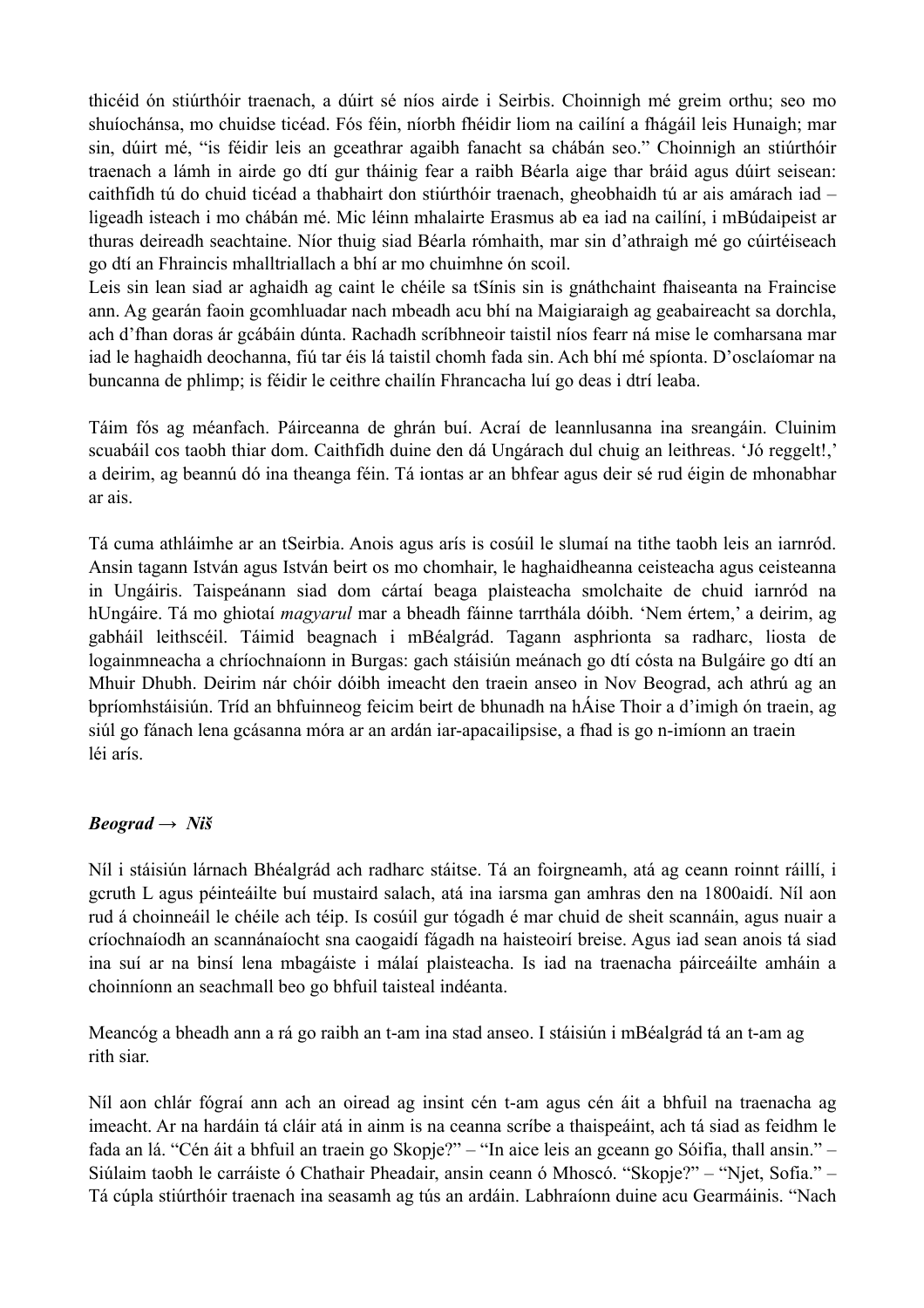thicéid ón stiúrthóir traenach, a dúirt sé níos airde i Seirbis. Choinnigh mé greim orthu; seo mo shuíochánsa, mo chuidse ticéad. Fós féin, níorbh fhéidir liom na cailíní a fhágáil leis Hunaigh; mar sin, dúirt mé, "is féidir leis an gceathrar agaibh fanacht sa chábán seo." Choinnigh an stiúrthóir traenach a lámh in airde go dtí gur tháinig fear a raibh Béarla aige thar bráid agus dúirt seisean: caithfidh tú do chuid ticéad a thabhairt don stiúrthóir traenach, gheobhaidh tú ar ais amárach iad – ligeadh isteach i mo chábán mé. Mic léinn mhalairte Erasmus ab ea iad na cailíní, i mBúdaipeist ar thuras deireadh seachtaine. Níor thuig siad Béarla rómhaith, mar sin d'athraigh mé go cúirtéiseach go dtí an Fhraincis mhalltriallach a bhí ar mo chuimhne ón scoil.

Leis sin lean siad ar aghaidh ag caint le chéile sa tSínis sin is gnáthchaint fhaiseanta na Fraincise ann. Ag gearán faoin gcomhluadar nach mbeadh acu bhí na Maigiaraigh ag geabaireacht sa dorchla, ach d'fhan doras ár gcábáin dúnta. Rachadh scríbhneoir taistil níos fearr ná mise le comharsana mar iad le haghaidh deochanna, fiú tar éis lá taistil chomh fada sin. Ach bhí mé spíonta. D'osclaíomar na buncanna de phlimp; is féidir le ceithre chailín Fhrancacha luí go deas i dtrí leaba.

Táim fós ag méanfach. Páirceanna de ghrán buí. Acraí de leannlusanna ina sreangáin. Cluinim scuabáil cos taobh thiar dom. Caithfidh duine den dá Ungárach dul chuig an leithreas. 'Jó reggelt!,' a deirim, ag beannú dó ina theanga féin. Tá iontas ar an bhfear agus deir sé rud éigin de mhonabhar ar ais.

Tá cuma athláimhe ar an tSeirbia. Anois agus arís is cosúil le slumaí na tithe taobh leis an iarnród. Ansin tagann István agus István beirt os mo chomhair, le haghaidheanna ceisteacha agus ceisteanna in Ungáiris. Taispeánann siad dom cártaí beaga plaisteacha smolchaite de chuid iarnród na hUngáire. Tá mo ghiotaí *magyarul* mar a bheadh fáinne tarrthála dóibh. 'Nem értem,' a deirim, ag gabháil leithscéil. Táimid beagnach i mBéalgrád. Tagann asphrionta sa radharc, liosta de logainmneacha a chríochnaíonn in Burgas: gach stáisiún meánach go dtí cósta na Bulgáire go dtí an Mhuir Dhubh. Deirim nár chóir dóibh imeacht den traein anseo in Nov Beograd, ach athrú ag an bpríomhstáisiún. Tríd an bhfuinneog feicim beirt de bhunadh na hÁise Thoir a d'imigh ón traein, ag siúl go fánach lena gcásanna móra ar an ardán iar-apacailipsise, a fhad is go n-imíonn an traein léi arís.

### *Beograd*  $\rightarrow$  *Niš*

Níl i stáisiún lárnach Bhéalgrád ach radharc stáitse. Tá an foirgneamh, atá ag ceann roinnt ráillí, i gcruth L agus péinteáilte buí mustaird salach, atá ina iarsma gan amhras den na 1800aidí. Níl aon rud á choinneáil le chéile ach téip. Is cosúil gur tógadh é mar chuid de sheit scannáin, agus nuair a críochnaíodh an scannánaíocht sna caogaidí fágadh na haisteoirí breise. Agus iad sean anois tá siad ina suí ar na binsí lena mbagáiste i málaí plaisteacha. Is iad na traenacha páirceáilte amháin a choinníonn an seachmall beo go bhfuil taisteal indéanta.

Meancóg a bheadh ann a rá go raibh an t-am ina stad anseo. I stáisiún i mBéalgrád tá an t-am ag rith siar.

Níl aon chlár fógraí ann ach an oiread ag insint cén t-am agus cén áit a bhfuil na traenacha ag imeacht. Ar na hardáin tá cláir atá in ainm is na ceanna scríbe a thaispeáint, ach tá siad as feidhm le fada an lá. "Cén áit a bhfuil an traein go Skopje?" – "In aice leis an gceann go Sóifia, thall ansin." – Siúlaim taobh le carráiste ó Chathair Pheadair, ansin ceann ó Mhoscó. "Skopje?" – "Njet, Sofia." – Tá cúpla stiúrthóir traenach ina seasamh ag tús an ardáin. Labhraíonn duine acu Gearmáinis. "Nach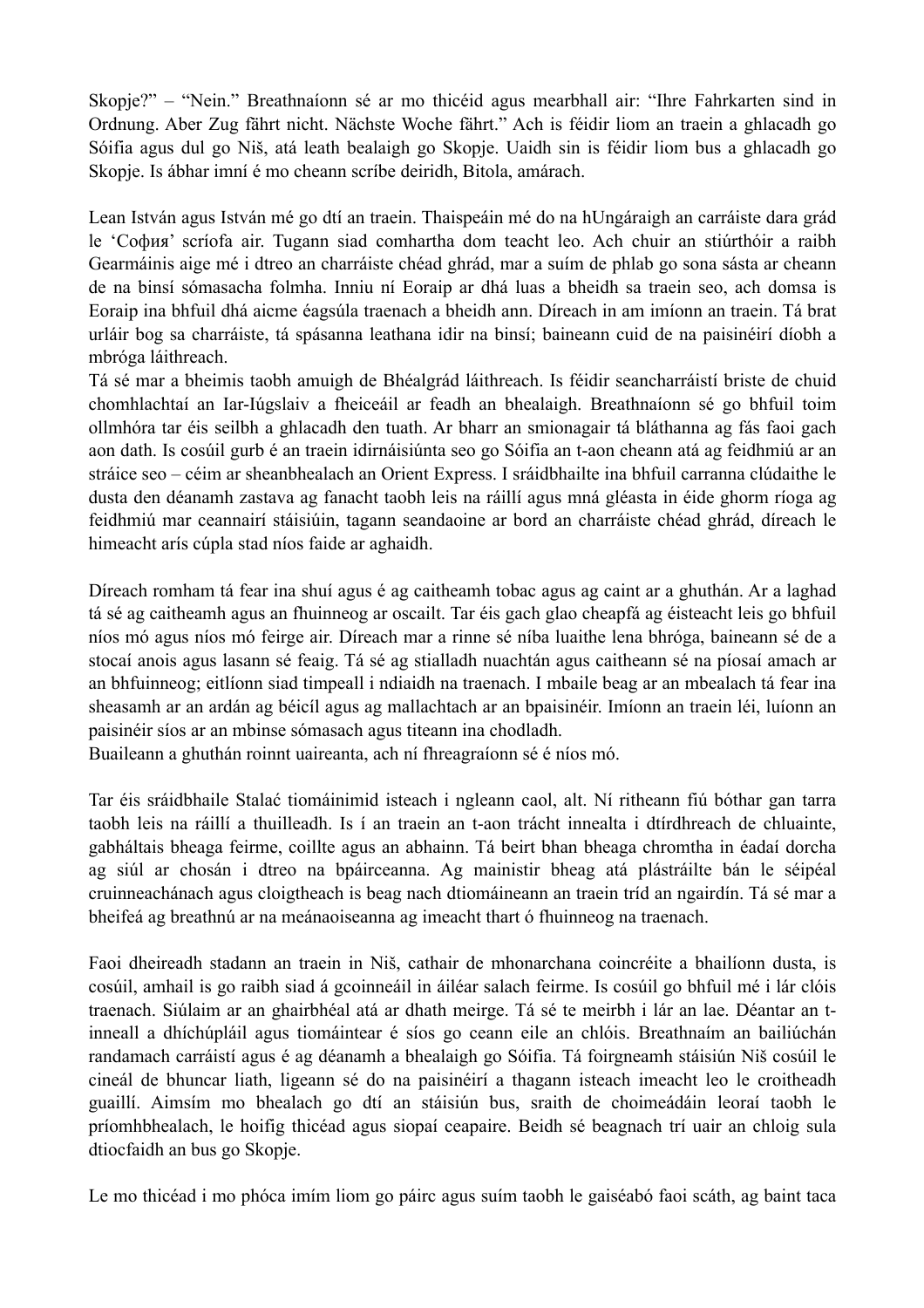Skopje?" – "Nein." Breathnaíonn sé ar mo thicéid agus mearbhall air: "Ihre Fahrkarten sind in Ordnung. Aber Zug fährt nicht. Nächste Woche fährt." Ach is féidir liom an traein a ghlacadh go Sóifia agus dul go Niš, atá leath bealaigh go Skopje. Uaidh sin is féidir liom bus a ghlacadh go Skopje. Is ábhar imní é mo cheann scríbe deiridh, Bitola, amárach.

Lean István agus István mé go dtí an traein. Thaispeáin mé do na hUngáraigh an carráiste dara grád le 'Сoфия' scríofa air. Tugann siad comhartha dom teacht leo. Ach chuir an stiúrthóir a raibh Gearmáinis aige mé i dtreo an charráiste chéad ghrád, mar a suím de phlab go sona sásta ar cheann de na binsí sómasacha folmha. Inniu ní Eoraip ar dhá luas a bheidh sa traein seo, ach domsa is Eoraip ina bhfuil dhá aicme éagsúla traenach a bheidh ann. Díreach in am imíonn an traein. Tá brat urláir bog sa charráiste, tá spásanna leathana idir na binsí; baineann cuid de na paisinéirí díobh a mbróga láithreach.

Tá sé mar a bheimis taobh amuigh de Bhéalgrád láithreach. Is féidir seancharráistí briste de chuid chomhlachtaí an Iar-Iúgslaiv a fheiceáil ar feadh an bhealaigh. Breathnaíonn sé go bhfuil toim ollmhóra tar éis seilbh a ghlacadh den tuath. Ar bharr an smionagair tá bláthanna ag fás faoi gach aon dath. Is cosúil gurb é an traein idirnáisiúnta seo go Sóifia an t-aon cheann atá ag feidhmiú ar an stráice seo – céim ar sheanbhealach an Orient Express. I sráidbhailte ina bhfuil carranna clúdaithe le dusta den déanamh zastava ag fanacht taobh leis na ráillí agus mná gléasta in éide ghorm ríoga ag feidhmiú mar ceannairí stáisiúin, tagann seandaoine ar bord an charráiste chéad ghrád, díreach le himeacht arís cúpla stad níos faide ar aghaidh.

Díreach romham tá fear ina shuí agus é ag caitheamh tobac agus ag caint ar a ghuthán. Ar a laghad tá sé ag caitheamh agus an fhuinneog ar oscailt. Tar éis gach glao cheapfá ag éisteacht leis go bhfuil níos mó agus níos mó feirge air. Díreach mar a rinne sé níba luaithe lena bhróga, baineann sé de a stocaí anois agus lasann sé feaig. Tá sé ag stialladh nuachtán agus caitheann sé na píosaí amach ar an bhfuinneog; eitlíonn siad timpeall i ndiaidh na traenach. I mbaile beag ar an mbealach tá fear ina sheasamh ar an ardán ag béicíl agus ag mallachtach ar an bpaisinéir. Imíonn an traein léi, luíonn an paisinéir síos ar an mbinse sómasach agus titeann ina chodladh.

Buaileann a ghuthán roinnt uaireanta, ach ní fhreagraíonn sé é níos mó.

Tar éis sráidbhaile Stalać tiomáinimid isteach i ngleann caol, alt. Ní ritheann fiú bóthar gan tarra taobh leis na ráillí a thuilleadh. Is í an traein an t-aon trácht innealta i dtírdhreach de chluainte, gabháltais bheaga feirme, coillte agus an abhainn. Tá beirt bhan bheaga chromtha in éadaí dorcha ag siúl ar chosán i dtreo na bpáirceanna. Ag mainistir bheag atá plástráilte bán le séipéal cruinneachánach agus cloigtheach is beag nach dtiomáineann an traein tríd an ngairdín. Tá sé mar a bheifeá ag breathnú ar na meánaoiseanna ag imeacht thart ó fhuinneog na traenach.

Faoi dheireadh stadann an traein in Niš, cathair de mhonarchana coincréite a bhailíonn dusta, is cosúil, amhail is go raibh siad á gcoinneáil in áiléar salach feirme. Is cosúil go bhfuil mé i lár clóis traenach. Siúlaim ar an ghairbhéal atá ar dhath meirge. Tá sé te meirbh i lár an lae. Déantar an tinneall a dhíchúpláil agus tiomáintear é síos go ceann eile an chlóis. Breathnaím an bailiúchán randamach carráistí agus é ag déanamh a bhealaigh go Sóifia. Tá foirgneamh stáisiún Niš cosúil le cineál de bhuncar liath, ligeann sé do na paisinéirí a thagann isteach imeacht leo le croitheadh guaillí. Aimsím mo bhealach go dtí an stáisiún bus, sraith de choimeádáin leoraí taobh le príomhbhealach, le hoifig thicéad agus siopaí ceapaire. Beidh sé beagnach trí uair an chloig sula dtiocfaidh an bus go Skopje.

Le mo thicéad i mo phóca imím liom go páirc agus suím taobh le gaiséabó faoi scáth, ag baint taca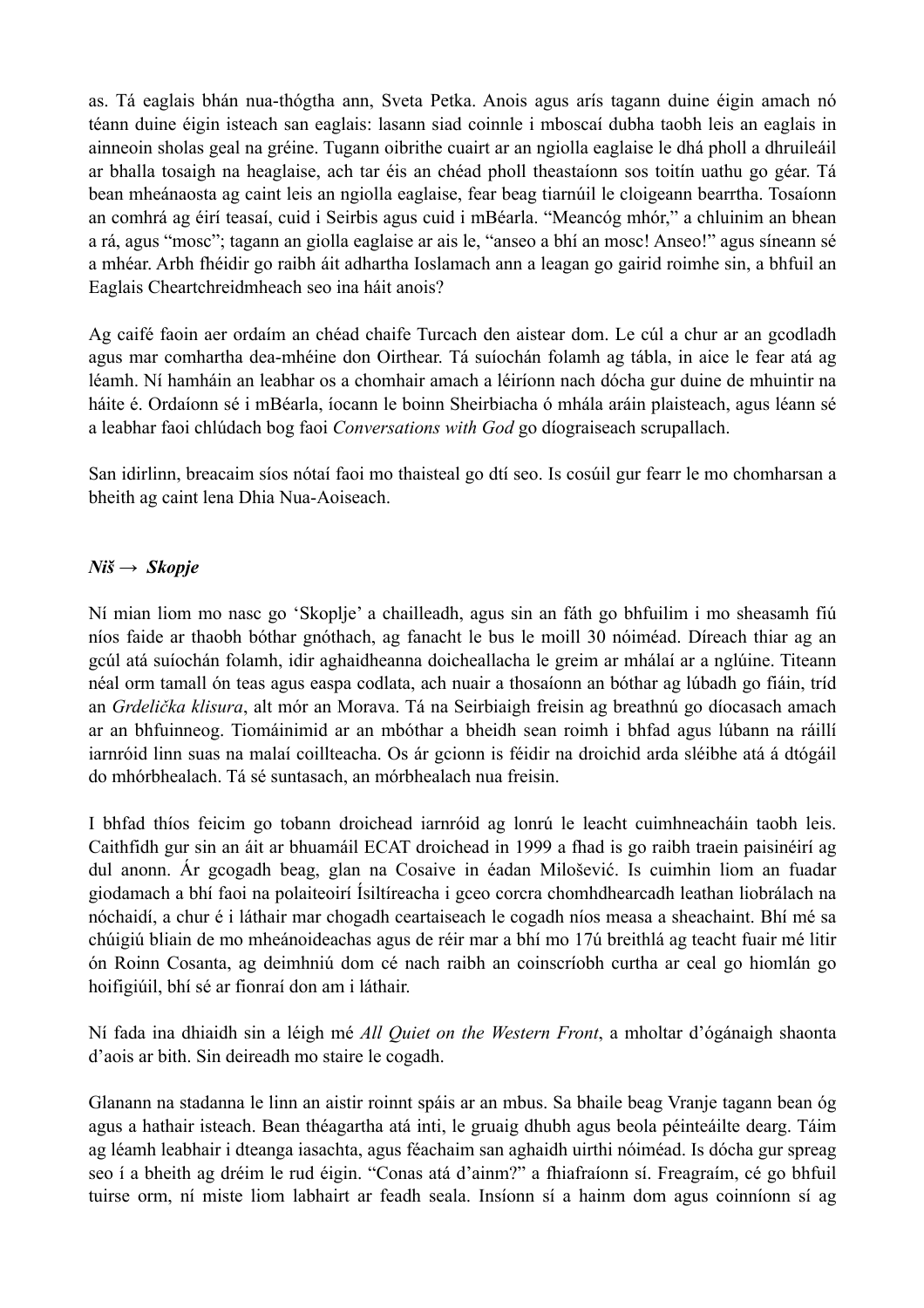as. Tá eaglais bhán nua-thógtha ann, Sveta Petka. Anois agus arís tagann duine éigin amach nó téann duine éigin isteach san eaglais: lasann siad coinnle i mboscaí dubha taobh leis an eaglais in ainneoin sholas geal na gréine. Tugann oibrithe cuairt ar an ngiolla eaglaise le dhá pholl a dhruileáil ar bhalla tosaigh na heaglaise, ach tar éis an chéad pholl theastaíonn sos toitín uathu go géar. Tá bean mheánaosta ag caint leis an ngiolla eaglaise, fear beag tiarnúil le cloigeann bearrtha. Tosaíonn an comhrá ag éirí teasaí, cuid i Seirbis agus cuid i mBéarla. "Meancóg mhór," a chluinim an bhean a rá, agus "mosc"; tagann an giolla eaglaise ar ais le, "anseo a bhí an mosc! Anseo!" agus síneann sé a mhéar. Arbh fhéidir go raibh áit adhartha Ioslamach ann a leagan go gairid roimhe sin, a bhfuil an Eaglais Cheartchreidmheach seo ina háit anois?

Ag caifé faoin aer ordaím an chéad chaife Turcach den aistear dom. Le cúl a chur ar an gcodladh agus mar comhartha dea-mhéine don Oirthear. Tá suíochán folamh ag tábla, in aice le fear atá ag léamh. Ní hamháin an leabhar os a chomhair amach a léiríonn nach dócha gur duine de mhuintir na háite é. Ordaíonn sé i mBéarla, íocann le boinn Sheirbiacha ó mhála aráin plaisteach, agus léann sé a leabhar faoi chlúdach bog faoi *Conversations with God* go díograiseach scrupallach.

San idirlinn, breacaim síos nótaí faoi mo thaisteal go dtí seo. Is cosúil gur fearr le mo chomharsan a bheith ag caint lena Dhia Nua-Aoiseach.

#### *Niš → Skopje*

Ní mian liom mo nasc go 'Skoplje' a chailleadh, agus sin an fáth go bhfuilim i mo sheasamh fiú níos faide ar thaobh bóthar gnóthach, ag fanacht le bus le moill 30 nóiméad. Díreach thiar ag an gcúl atá suíochán folamh, idir aghaidheanna doicheallacha le greim ar mhálaí ar a nglúine. Titeann néal orm tamall ón teas agus easpa codlata, ach nuair a thosaíonn an bóthar ag lúbadh go fiáin, tríd an *Grdelička klisura*, alt mór an Morava. Tá na Seirbiaigh freisin ag breathnú go díocasach amach ar an bhfuinneog. Tiomáinimid ar an mbóthar a bheidh sean roimh i bhfad agus lúbann na ráillí iarnróid linn suas na malaí coillteacha. Os ár gcionn is féidir na droichid arda sléibhe atá á dtógáil do mhórbhealach. Tá sé suntasach, an mórbhealach nua freisin.

I bhfad thíos feicim go tobann droichead iarnróid ag lonrú le leacht cuimhneacháin taobh leis. Caithfidh gur sin an áit ar bhuamáil ECAT droichead in 1999 a fhad is go raibh traein paisinéirí ag dul anonn. Ár gcogadh beag, glan na Cosaive in éadan Milošević. Is cuimhin liom an fuadar giodamach a bhí faoi na polaiteoirí Ísiltíreacha i gceo corcra chomhdhearcadh leathan liobrálach na nóchaidí, a chur é i láthair mar chogadh ceartaiseach le cogadh níos measa a sheachaint. Bhí mé sa chúigiú bliain de mo mheánoideachas agus de réir mar a bhí mo 17ú breithlá ag teacht fuair mé litir ón Roinn Cosanta, ag deimhniú dom cé nach raibh an coinscríobh curtha ar ceal go hiomlán go hoifigiúil, bhí sé ar fionraí don am i láthair.

Ní fada ina dhiaidh sin a léigh mé *All Quiet on the Western Front*, a mholtar d'ógánaigh shaonta d'aois ar bith. Sin deireadh mo staire le cogadh.

Glanann na stadanna le linn an aistir roinnt spáis ar an mbus. Sa bhaile beag Vranje tagann bean óg agus a hathair isteach. Bean théagartha atá inti, le gruaig dhubh agus beola péinteáilte dearg. Táim ag léamh leabhair i dteanga iasachta, agus féachaim san aghaidh uirthi nóiméad. Is dócha gur spreag seo í a bheith ag dréim le rud éigin. "Conas atá d'ainm?" a fhiafraíonn sí. Freagraím, cé go bhfuil tuirse orm, ní miste liom labhairt ar feadh seala. Insíonn sí a hainm dom agus coinníonn sí ag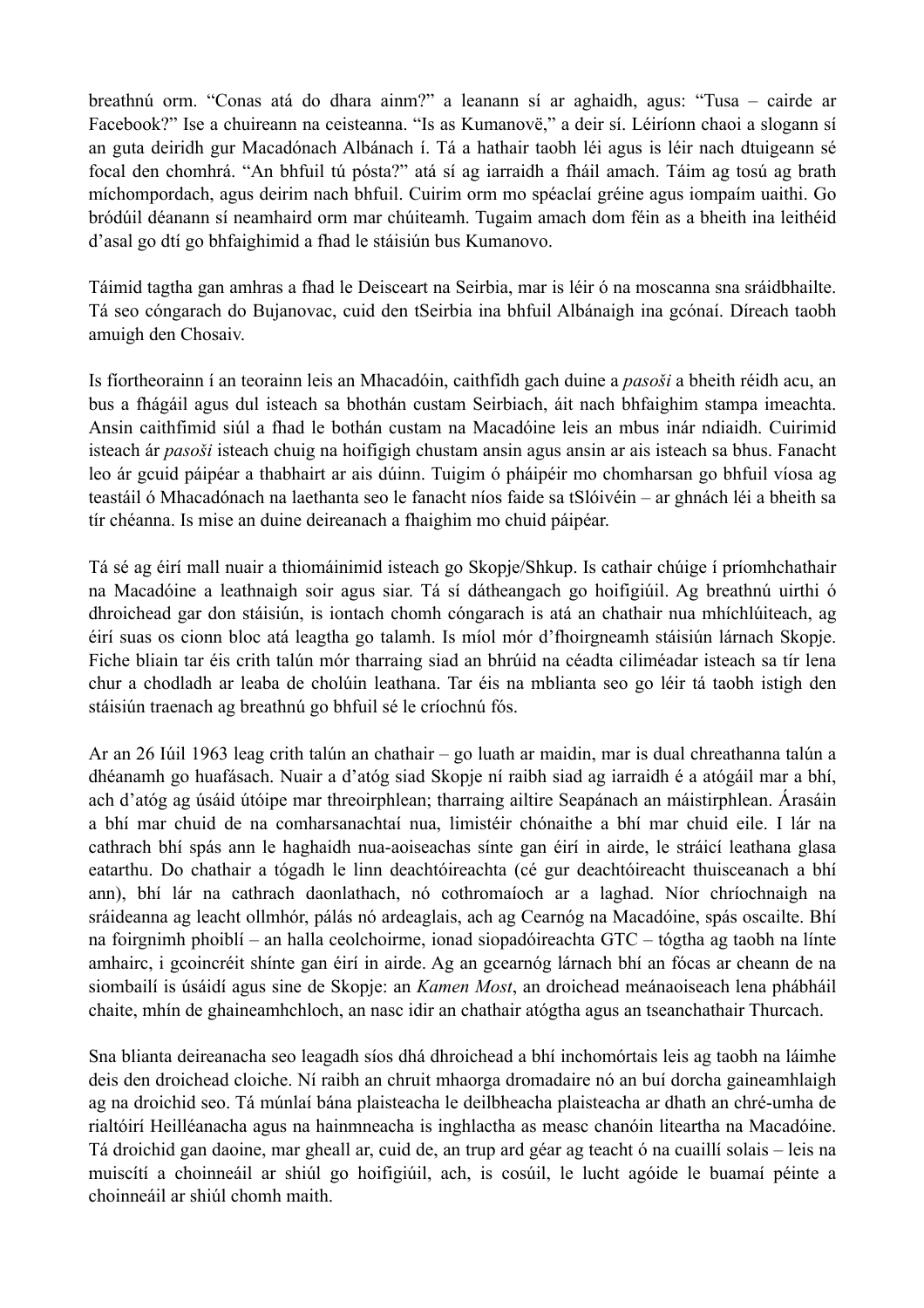breathnú orm. "Conas atá do dhara ainm?" a leanann sí ar aghaidh, agus: "Tusa – cairde ar Facebook?" Ise a chuireann na ceisteanna. "Is as Kumanovë," a deir sí. Léiríonn chaoi a slogann sí an guta deiridh gur Macadónach Albánach í. Tá a hathair taobh léi agus is léir nach dtuigeann sé focal den chomhrá. "An bhfuil tú pósta?" atá sí ag iarraidh a fháil amach. Táim ag tosú ag brath míchompordach, agus deirim nach bhfuil. Cuirim orm mo spéaclaí gréine agus iompaím uaithi. Go bródúil déanann sí neamhaird orm mar chúiteamh. Tugaim amach dom féin as a bheith ina leithéid d'asal go dtí go bhfaighimid a fhad le stáisiún bus Kumanovo.

Táimid tagtha gan amhras a fhad le Deisceart na Seirbia, mar is léir ó na moscanna sna sráidbhailte. Tá seo cóngarach do Bujanovac, cuid den tSeirbia ina bhfuil Albánaigh ina gcónaí. Díreach taobh amuigh den Chosaiv.

Is fíortheorainn í an teorainn leis an Mhacadóin, caithfidh gach duine a *pasoši* a bheith réidh acu, an bus a fhágáil agus dul isteach sa bhothán custam Seirbiach, áit nach bhfaighim stampa imeachta. Ansin caithfimid siúl a fhad le bothán custam na Macadóine leis an mbus inár ndiaidh. Cuirimid isteach ár *pasoši* isteach chuig na hoifigigh chustam ansin agus ansin ar ais isteach sa bhus. Fanacht leo ár gcuid páipéar a thabhairt ar ais dúinn. Tuigim ó pháipéir mo chomharsan go bhfuil víosa ag teastáil ó Mhacadónach na laethanta seo le fanacht níos faide sa tSlóivéin – ar ghnách léi a bheith sa tír chéanna. Is mise an duine deireanach a fhaighim mo chuid páipéar.

Tá sé ag éirí mall nuair a thiomáinimid isteach go Skopje/Shkup. Is cathair chúige í príomhchathair na Macadóine a leathnaigh soir agus siar. Tá sí dátheangach go hoifigiúil. Ag breathnú uirthi ó dhroichead gar don stáisiún, is iontach chomh cóngarach is atá an chathair nua mhíchlúiteach, ag éirí suas os cionn bloc atá leagtha go talamh. Is míol mór d'fhoirgneamh stáisiún lárnach Skopje. Fiche bliain tar éis crith talún mór tharraing siad an bhrúid na céadta ciliméadar isteach sa tír lena chur a chodladh ar leaba de cholúin leathana. Tar éis na mblianta seo go léir tá taobh istigh den stáisiún traenach ag breathnú go bhfuil sé le críochnú fós.

Ar an 26 Iúil 1963 leag crith talún an chathair – go luath ar maidin, mar is dual chreathanna talún a dhéanamh go huafásach. Nuair a d'atóg siad Skopje ní raibh siad ag iarraidh é a atógáil mar a bhí, ach d'atóg ag úsáid útóipe mar threoirphlean; tharraing ailtire Seapánach an máistirphlean. Árasáin a bhí mar chuid de na comharsanachtaí nua, limistéir chónaithe a bhí mar chuid eile. I lár na cathrach bhí spás ann le haghaidh nua-aoiseachas sínte gan éirí in airde, le stráicí leathana glasa eatarthu. Do chathair a tógadh le linn deachtóireachta (cé gur deachtóireacht thuisceanach a bhí ann), bhí lár na cathrach daonlathach, nó cothromaíoch ar a laghad. Níor chríochnaigh na sráideanna ag leacht ollmhór, pálás nó ardeaglais, ach ag Cearnóg na Macadóine, spás oscailte. Bhí na foirgnimh phoiblí – an halla ceolchoirme, ionad siopadóireachta GTC – tógtha ag taobh na línte amhairc, i gcoincréit shínte gan éirí in airde. Ag an gcearnóg lárnach bhí an fócas ar cheann de na siombailí is úsáidí agus sine de Skopje: an *Kamen Most*, an droichead meánaoiseach lena phábháil chaite, mhín de ghaineamhchloch, an nasc idir an chathair atógtha agus an tseanchathair Thurcach.

Sna blianta deireanacha seo leagadh síos dhá dhroichead a bhí inchomórtais leis ag taobh na láimhe deis den droichead cloiche. Ní raibh an chruit mhaorga dromadaire nó an buí dorcha gaineamhlaigh ag na droichid seo. Tá múnlaí bána plaisteacha le deilbheacha plaisteacha ar dhath an chré-umha de rialtóirí Heilléanacha agus na hainmneacha is inghlactha as measc chanóin liteartha na Macadóine. Tá droichid gan daoine, mar gheall ar, cuid de, an trup ard géar ag teacht ó na cuaillí solais – leis na muiscítí a choinneáil ar shiúl go hoifigiúil, ach, is cosúil, le lucht agóide le buamaí péinte a choinneáil ar shiúl chomh maith.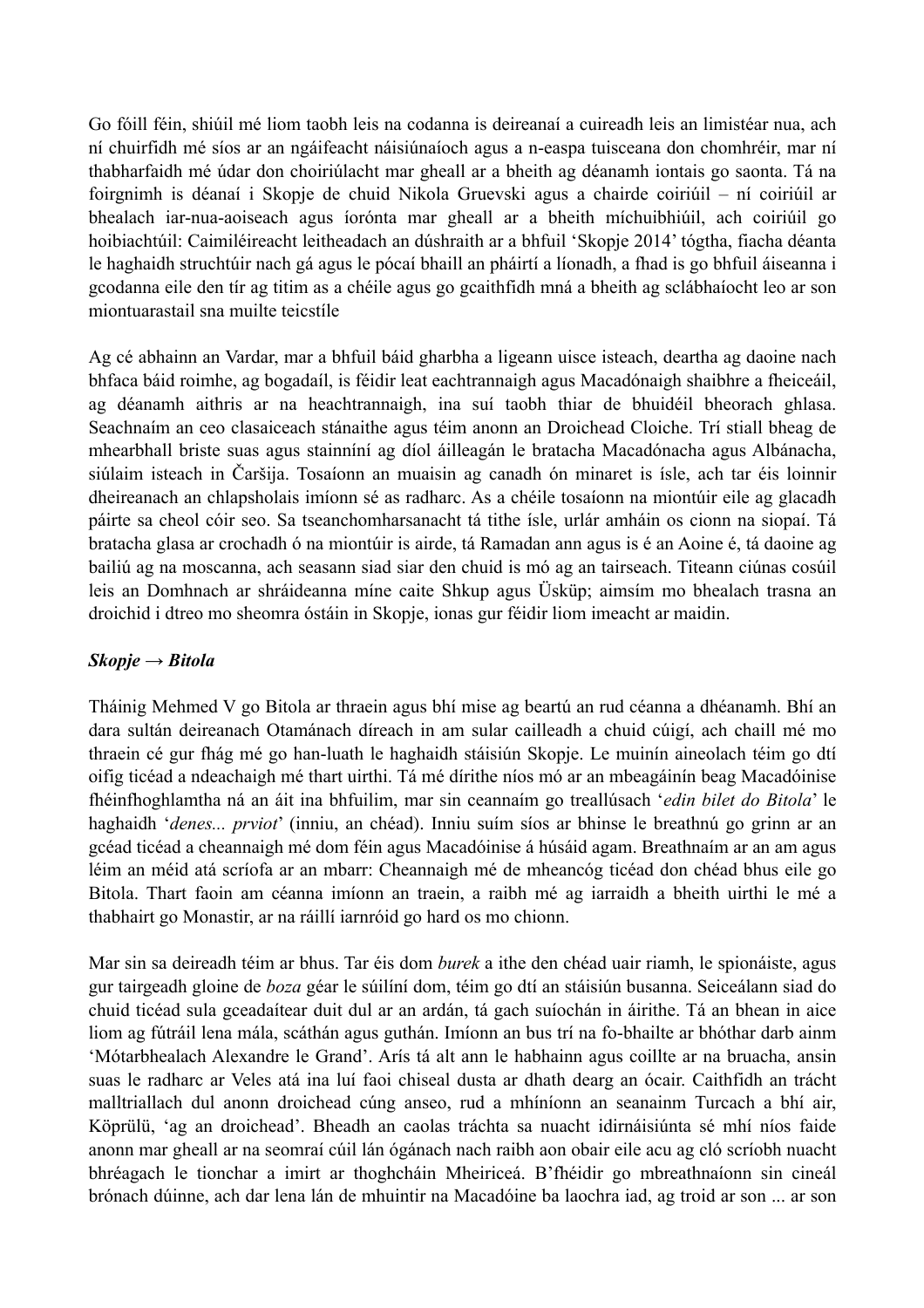Go fóill féin, shiúil mé liom taobh leis na codanna is deireanaí a cuireadh leis an limistéar nua, ach ní chuirfidh mé síos ar an ngáifeacht náisiúnaíoch agus a n-easpa tuisceana don chomhréir, mar ní thabharfaidh mé údar don choiriúlacht mar gheall ar a bheith ag déanamh iontais go saonta. Tá na foirgnimh is déanaí i Skopje de chuid Nikola Gruevski agus a chairde coiriúil – ní coiriúil ar bhealach iar-nua-aoiseach agus íorónta mar gheall ar a bheith míchuibhiúil, ach coiriúil go hoibiachtúil: Caimiléireacht leitheadach an dúshraith ar a bhfuil 'Skopje 2014' tógtha, fiacha déanta le haghaidh struchtúir nach gá agus le pócaí bhaill an pháirtí a líonadh, a fhad is go bhfuil áiseanna i gcodanna eile den tír ag titim as a chéile agus go gcaithfidh mná a bheith ag sclábhaíocht leo ar son miontuarastail sna muilte teicstíle

Ag cé abhainn an Vardar, mar a bhfuil báid gharbha a ligeann uisce isteach, deartha ag daoine nach bhfaca báid roimhe, ag bogadaíl, is féidir leat eachtrannaigh agus Macadónaigh shaibhre a fheiceáil, ag déanamh aithris ar na heachtrannaigh, ina suí taobh thiar de bhuidéil bheorach ghlasa. Seachnaím an ceo clasaiceach stánaithe agus téim anonn an Droichead Cloiche. Trí stiall bheag de mhearbhall briste suas agus stainníní ag díol áilleagán le bratacha Macadónacha agus Albánacha, siúlaim isteach in Čaršija. Tosaíonn an muaisin ag canadh ón minaret is ísle, ach tar éis loinnir dheireanach an chlapsholais imíonn sé as radharc. As a chéile tosaíonn na miontúir eile ag glacadh páirte sa cheol cóir seo. Sa tseanchomharsanacht tá tithe ísle, urlár amháin os cionn na siopaí. Tá bratacha glasa ar crochadh ó na miontúir is airde, tá Ramadan ann agus is é an Aoine é, tá daoine ag bailiú ag na moscanna, ach seasann siad siar den chuid is mó ag an tairseach. Titeann ciúnas cosúil leis an Domhnach ar shráideanna míne caite Shkup agus Üsküp; aimsím mo bhealach trasna an droichid i dtreo mo sheomra óstáin in Skopje, ionas gur féidir liom imeacht ar maidin.

#### *Skopje → Bitola*

Tháinig Mehmed V go Bitola ar thraein agus bhí mise ag beartú an rud céanna a dhéanamh. Bhí an dara sultán deireanach Otamánach díreach in am sular cailleadh a chuid cúigí, ach chaill mé mo thraein cé gur fhág mé go han-luath le haghaidh stáisiún Skopje. Le muinín aineolach téim go dtí oifig ticéad a ndeachaigh mé thart uirthi. Tá mé dírithe níos mó ar an mbeagáinín beag Macadóinise fhéinfhoghlamtha ná an áit ina bhfuilim, mar sin ceannaím go treallúsach '*edin bilet do Bitola*' le haghaidh '*denes... prviot*' (inniu, an chéad). Inniu suím síos ar bhinse le breathnú go grinn ar an gcéad ticéad a cheannaigh mé dom féin agus Macadóinise á húsáid agam. Breathnaím ar an am agus léim an méid atá scríofa ar an mbarr: Cheannaigh mé de mheancóg ticéad don chéad bhus eile go Bitola. Thart faoin am céanna imíonn an traein, a raibh mé ag iarraidh a bheith uirthi le mé a thabhairt go Monastir, ar na ráillí iarnróid go hard os mo chionn.

Mar sin sa deireadh téim ar bhus. Tar éis dom *burek* a ithe den chéad uair riamh, le spionáiste, agus gur tairgeadh gloine de *boza* géar le súilíní dom, téim go dtí an stáisiún busanna. Seiceálann siad do chuid ticéad sula gceadaítear duit dul ar an ardán, tá gach suíochán in áirithe. Tá an bhean in aice liom ag fútráil lena mála, scáthán agus guthán. Imíonn an bus trí na fo-bhailte ar bhóthar darb ainm 'Mótarbhealach Alexandre le Grand'. Arís tá alt ann le habhainn agus coillte ar na bruacha, ansin suas le radharc ar Veles atá ina luí faoi chiseal dusta ar dhath dearg an ócair. Caithfidh an trácht malltriallach dul anonn droichead cúng anseo, rud a mhíníonn an seanainm Turcach a bhí air, Köprülü, 'ag an droichead'. Bheadh an caolas tráchta sa nuacht idirnáisiúnta sé mhí níos faide anonn mar gheall ar na seomraí cúil lán ógánach nach raibh aon obair eile acu ag cló scríobh nuacht bhréagach le tionchar a imirt ar thoghcháin Mheiriceá. B'fhéidir go mbreathnaíonn sin cineál brónach dúinne, ach dar lena lán de mhuintir na Macadóine ba laochra iad, ag troid ar son ... ar son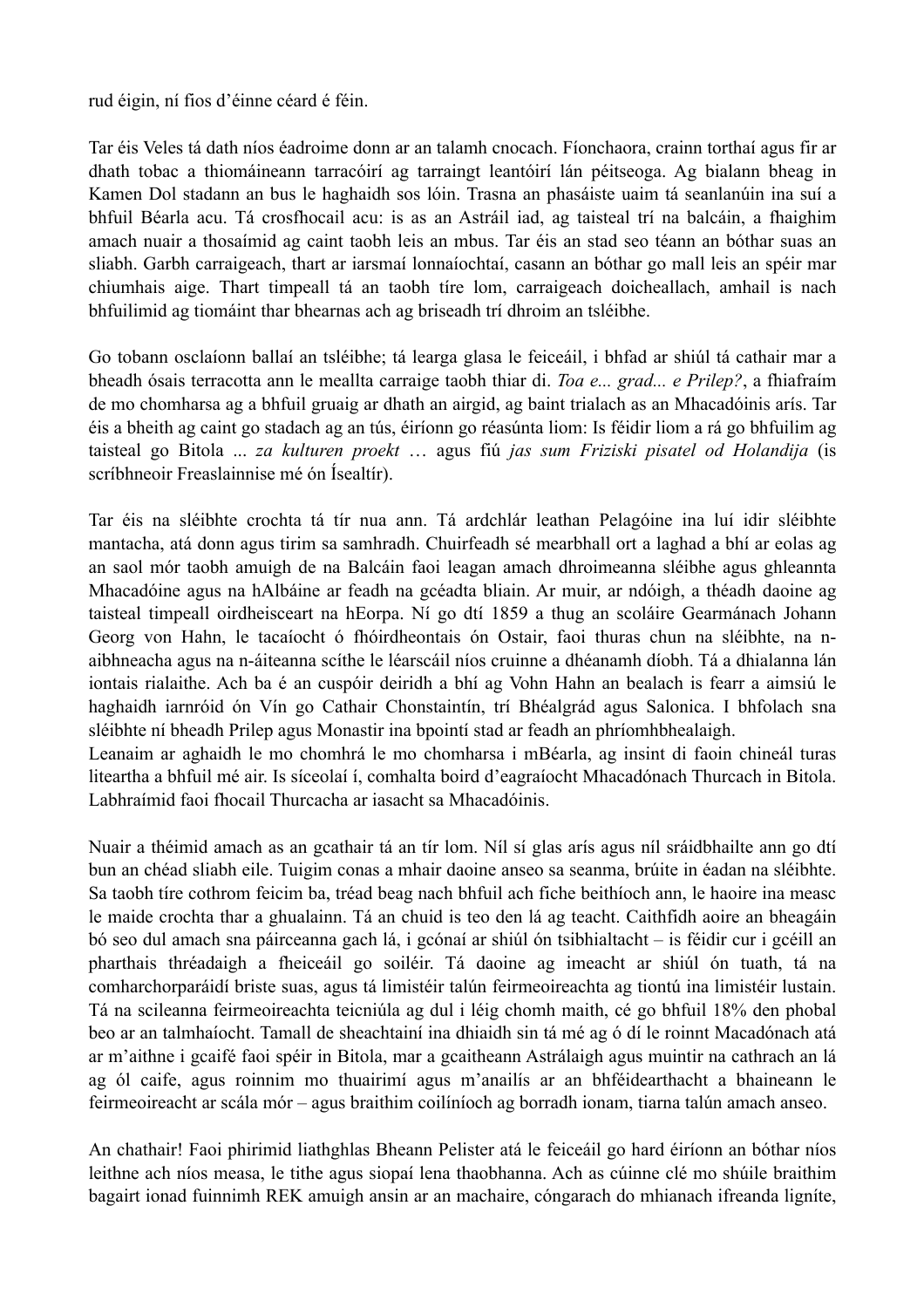rud éigin, ní fios d'éinne céard é féin.

Tar éis Veles tá dath níos éadroime donn ar an talamh cnocach. Fíonchaora, crainn torthaí agus fir ar dhath tobac a thiomáineann tarracóirí ag tarraingt leantóirí lán péitseoga. Ag bialann bheag in Kamen Dol stadann an bus le haghaidh sos lóin. Trasna an phasáiste uaim tá seanlanúin ina suí a bhfuil Béarla acu. Tá crosfhocail acu: is as an Astráil iad, ag taisteal trí na balcáin, a fhaighim amach nuair a thosaímid ag caint taobh leis an mbus. Tar éis an stad seo téann an bóthar suas an sliabh. Garbh carraigeach, thart ar iarsmaí lonnaíochtaí, casann an bóthar go mall leis an spéir mar chiumhais aige. Thart timpeall tá an taobh tíre lom, carraigeach doicheallach, amhail is nach bhfuilimid ag tiomáint thar bhearnas ach ag briseadh trí dhroim an tsléibhe.

Go tobann osclaíonn ballaí an tsléibhe; tá learga glasa le feiceáil, i bhfad ar shiúl tá cathair mar a bheadh ósais terracotta ann le meallta carraige taobh thiar di. *Toa e... grad... e Prilep?*, a fhiafraím de mo chomharsa ag a bhfuil gruaig ar dhath an airgid, ag baint trialach as an Mhacadóinis arís. Tar éis a bheith ag caint go stadach ag an tús, éiríonn go réasúnta liom: Is féidir liom a rá go bhfuilim ag taisteal go Bitola ... *za kulturen proekt* … agus fiú *jas sum Friziski pisatel od Holandija* (is scríbhneoir Freaslainnise mé ón Ísealtír).

Tar éis na sléibhte crochta tá tír nua ann. Tá ardchlár leathan Pelagóine ina luí idir sléibhte mantacha, atá donn agus tirim sa samhradh. Chuirfeadh sé mearbhall ort a laghad a bhí ar eolas ag an saol mór taobh amuigh de na Balcáin faoi leagan amach dhroimeanna sléibhe agus ghleannta Mhacadóine agus na hAlbáine ar feadh na gcéadta bliain. Ar muir, ar ndóigh, a théadh daoine ag taisteal timpeall oirdheisceart na hEorpa. Ní go dtí 1859 a thug an scoláire Gearmánach Johann Georg von Hahn, le tacaíocht ó fhóirdheontais ón Ostair, faoi thuras chun na sléibhte, na naibhneacha agus na n-áiteanna scíthe le léarscáil níos cruinne a dhéanamh díobh. Tá a dhialanna lán iontais rialaithe. Ach ba é an cuspóir deiridh a bhí ag Vohn Hahn an bealach is fearr a aimsiú le haghaidh iarnróid ón Vín go Cathair Chonstaintín, trí Bhéalgrád agus Salonica. I bhfolach sna sléibhte ní bheadh Prilep agus Monastir ina bpointí stad ar feadh an phríomhbhealaigh. Leanaim ar aghaidh le mo chomhrá le mo chomharsa i mBéarla, ag insint di faoin chineál turas

liteartha a bhfuil mé air. Is síceolaí í, comhalta boird d'eagraíocht Mhacadónach Thurcach in Bitola. Labhraímid faoi fhocail Thurcacha ar iasacht sa Mhacadóinis.

Nuair a théimid amach as an gcathair tá an tír lom. Níl sí glas arís agus níl sráidbhailte ann go dtí bun an chéad sliabh eile. Tuigim conas a mhair daoine anseo sa seanma, brúite in éadan na sléibhte. Sa taobh tíre cothrom feicim ba, tréad beag nach bhfuil ach fiche beithíoch ann, le haoire ina measc le maide crochta thar a ghualainn. Tá an chuid is teo den lá ag teacht. Caithfidh aoire an bheagáin bó seo dul amach sna páirceanna gach lá, i gcónaí ar shiúl ón tsibhialtacht – is féidir cur i gcéill an pharthais thréadaigh a fheiceáil go soiléir. Tá daoine ag imeacht ar shiúl ón tuath, tá na comharchorparáidí briste suas, agus tá limistéir talún feirmeoireachta ag tiontú ina limistéir lustain. Tá na scileanna feirmeoireachta teicniúla ag dul i léig chomh maith, cé go bhfuil 18% den phobal beo ar an talmhaíocht. Tamall de sheachtainí ina dhiaidh sin tá mé ag ó dí le roinnt Macadónach atá ar m'aithne i gcaifé faoi spéir in Bitola, mar a gcaitheann Astrálaigh agus muintir na cathrach an lá ag ól caife, agus roinnim mo thuairimí agus m'anailís ar an bhféidearthacht a bhaineann le feirmeoireacht ar scála mór – agus braithim coilíníoch ag borradh ionam, tiarna talún amach anseo.

An chathair! Faoi phirimid liathghlas Bheann Pelister atá le feiceáil go hard éiríonn an bóthar níos leithne ach níos measa, le tithe agus siopaí lena thaobhanna. Ach as cúinne clé mo shúile braithim bagairt ionad fuinnimh REK amuigh ansin ar an machaire, cóngarach do mhianach ifreanda ligníte,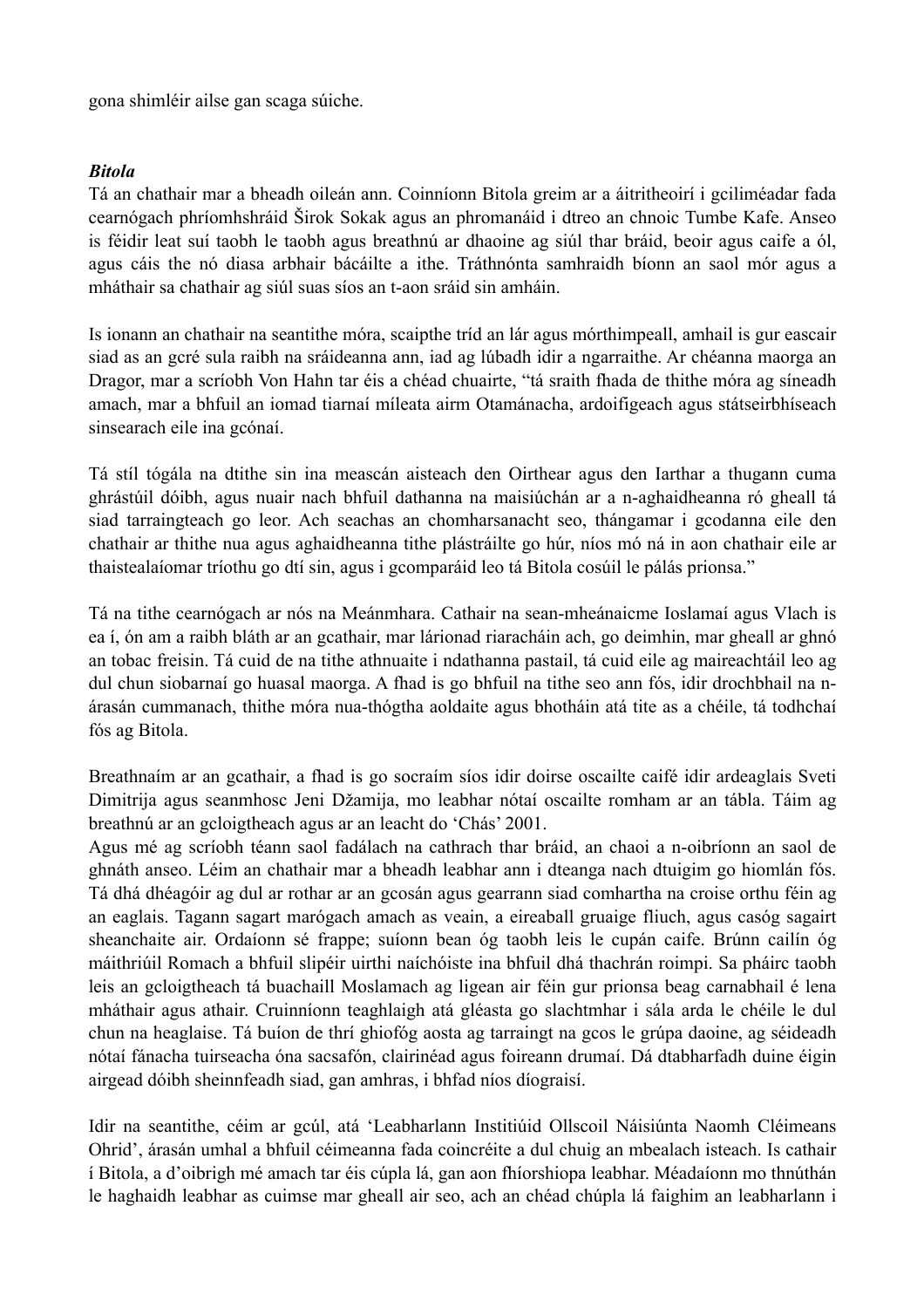gona shimléir ailse gan scaga súiche.

#### *Bitola*

Tá an chathair mar a bheadh oileán ann. Coinníonn Bitola greim ar a áitritheoirí i gciliméadar fada cearnógach phríomhshráid Širok Sokak agus an phromanáid i dtreo an chnoic Tumbe Kafe. Anseo is féidir leat suí taobh le taobh agus breathnú ar dhaoine ag siúl thar bráid, beoir agus caife a ól, agus cáis the nó diasa arbhair bácáilte a ithe. Tráthnónta samhraidh bíonn an saol mór agus a mháthair sa chathair ag siúl suas síos an t-aon sráid sin amháin.

Is ionann an chathair na seantithe móra, scaipthe tríd an lár agus mórthimpeall, amhail is gur eascair siad as an gcré sula raibh na sráideanna ann, iad ag lúbadh idir a ngarraithe. Ar chéanna maorga an Dragor, mar a scríobh Von Hahn tar éis a chéad chuairte, "tá sraith fhada de thithe móra ag síneadh amach, mar a bhfuil an iomad tiarnaí míleata airm Otamánacha, ardoifigeach agus státseirbhíseach sinsearach eile ina gcónaí.

Tá stíl tógála na dtithe sin ina meascán aisteach den Oirthear agus den Iarthar a thugann cuma ghrástúil dóibh, agus nuair nach bhfuil dathanna na maisiúchán ar a n-aghaidheanna ró gheall tá siad tarraingteach go leor. Ach seachas an chomharsanacht seo, thángamar i gcodanna eile den chathair ar thithe nua agus aghaidheanna tithe plástráilte go húr, níos mó ná in aon chathair eile ar thaistealaíomar tríothu go dtí sin, agus i gcomparáid leo tá Bitola cosúil le pálás prionsa."

Tá na tithe cearnógach ar nós na Meánmhara. Cathair na sean-mheánaicme Ioslamaí agus Vlach is ea í, ón am a raibh bláth ar an gcathair, mar lárionad riaracháin ach, go deimhin, mar gheall ar ghnó an tobac freisin. Tá cuid de na tithe athnuaite i ndathanna pastail, tá cuid eile ag maireachtáil leo ag dul chun siobarnaí go huasal maorga. A fhad is go bhfuil na tithe seo ann fós, idir drochbhail na nárasán cummanach, thithe móra nua-thógtha aoldaite agus bhotháin atá tite as a chéile, tá todhchaí fós ag Bitola.

Breathnaím ar an gcathair, a fhad is go socraím síos idir doirse oscailte caifé idir ardeaglais Sveti Dimitrija agus seanmhosc Jeni Džamija, mo leabhar nótaí oscailte romham ar an tábla. Táim ag breathnú ar an gcloigtheach agus ar an leacht do 'Chás' 2001.

Agus mé ag scríobh téann saol fadálach na cathrach thar bráid, an chaoi a n-oibríonn an saol de ghnáth anseo. Léim an chathair mar a bheadh leabhar ann i dteanga nach dtuigim go hiomlán fós. Tá dhá dhéagóir ag dul ar rothar ar an gcosán agus gearrann siad comhartha na croise orthu féin ag an eaglais. Tagann sagart marógach amach as veain, a eireaball gruaige fliuch, agus casóg sagairt sheanchaite air. Ordaíonn sé frappe; suíonn bean óg taobh leis le cupán caife. Brúnn cailín óg máithriúil Romach a bhfuil slipéir uirthi naíchóiste ina bhfuil dhá thachrán roimpi. Sa pháirc taobh leis an gcloigtheach tá buachaill Moslamach ag ligean air féin gur prionsa beag carnabhail é lena mháthair agus athair. Cruinníonn teaghlaigh atá gléasta go slachtmhar i sála arda le chéile le dul chun na heaglaise. Tá buíon de thrí ghiofóg aosta ag tarraingt na gcos le grúpa daoine, ag séideadh nótaí fánacha tuirseacha óna sacsafón, clairinéad agus foireann drumaí. Dá dtabharfadh duine éigin airgead dóibh sheinnfeadh siad, gan amhras, i bhfad níos díograisí.

Idir na seantithe, céim ar gcúl, atá 'Leabharlann Institiúid Ollscoil Náisiúnta Naomh Cléimeans Ohrid', árasán umhal a bhfuil céimeanna fada coincréite a dul chuig an mbealach isteach. Is cathair í Bitola, a d'oibrigh mé amach tar éis cúpla lá, gan aon fhíorshiopa leabhar. Méadaíonn mo thnúthán le haghaidh leabhar as cuimse mar gheall air seo, ach an chéad chúpla lá faighim an leabharlann i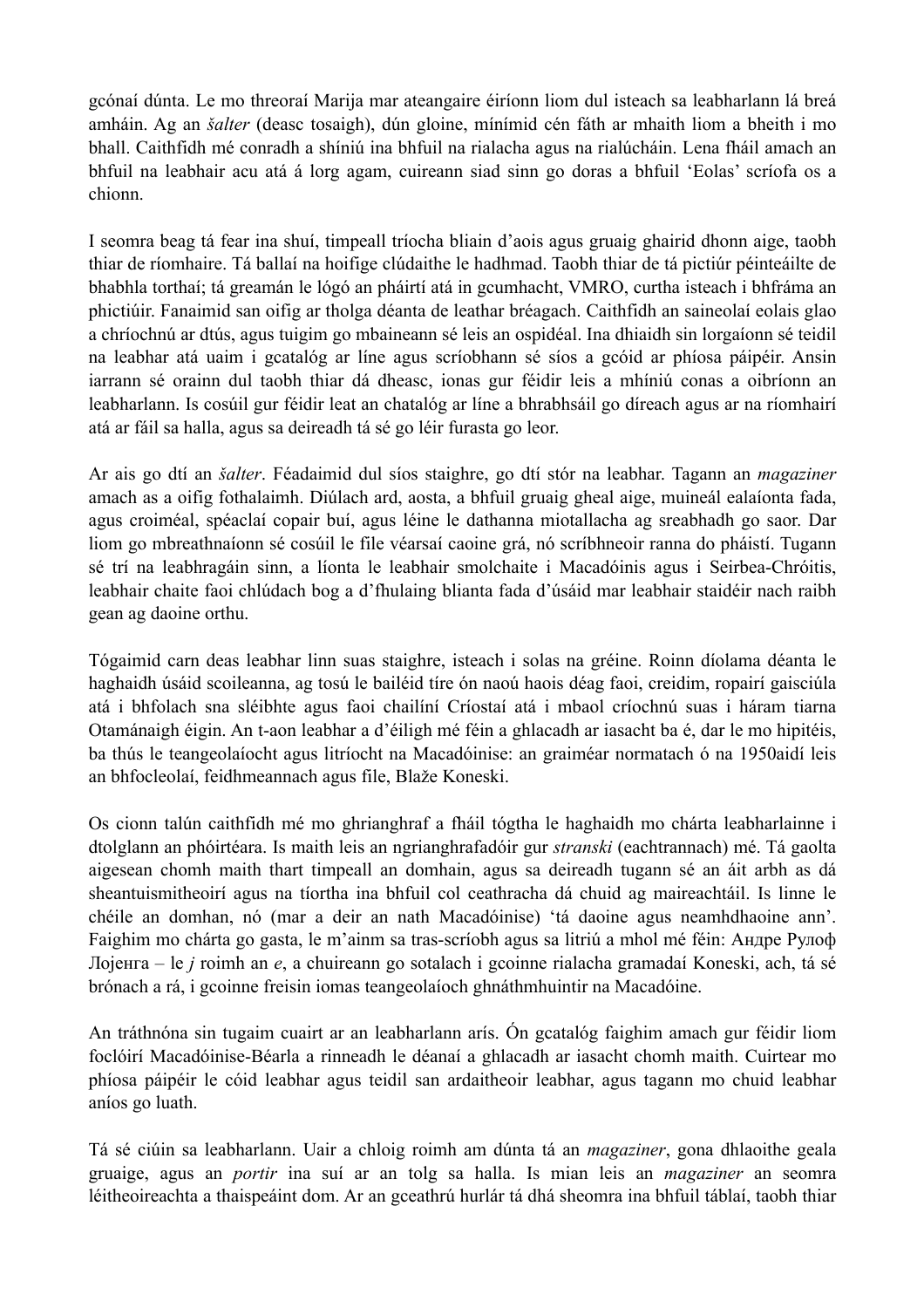gcónaí dúnta. Le mo threoraí Marija mar ateangaire éiríonn liom dul isteach sa leabharlann lá breá amháin. Ag an *šalter* (deasc tosaigh), dún gloine, mínímid cén fáth ar mhaith liom a bheith i mo bhall. Caithfidh mé conradh a shíniú ina bhfuil na rialacha agus na rialúcháin. Lena fháil amach an bhfuil na leabhair acu atá á lorg agam, cuireann siad sinn go doras a bhfuil 'Eolas' scríofa os a chionn.

I seomra beag tá fear ina shuí, timpeall tríocha bliain d'aois agus gruaig ghairid dhonn aige, taobh thiar de ríomhaire. Tá ballaí na hoifige clúdaithe le hadhmad. Taobh thiar de tá pictiúr péinteáilte de bhabhla torthaí; tá greamán le lógó an pháirtí atá in gcumhacht, VMRO, curtha isteach i bhfráma an phictiúir. Fanaimid san oifig ar tholga déanta de leathar bréagach. Caithfidh an saineolaí eolais glao a chríochnú ar dtús, agus tuigim go mbaineann sé leis an ospidéal. Ina dhiaidh sin lorgaíonn sé teidil na leabhar atá uaim i gcatalóg ar líne agus scríobhann sé síos a gcóid ar phíosa páipéir. Ansin iarrann sé orainn dul taobh thiar dá dheasc, ionas gur féidir leis a mhíniú conas a oibríonn an leabharlann. Is cosúil gur féidir leat an chatalóg ar líne a bhrabhsáil go díreach agus ar na ríomhairí atá ar fáil sa halla, agus sa deireadh tá sé go léir furasta go leor.

Ar ais go dtí an *šalter*. Féadaimid dul síos staighre, go dtí stór na leabhar. Tagann an *magaziner* amach as a oifig fothalaimh. Diúlach ard, aosta, a bhfuil gruaig gheal aige, muineál ealaíonta fada, agus croiméal, spéaclaí copair buí, agus léine le dathanna miotallacha ag sreabhadh go saor. Dar liom go mbreathnaíonn sé cosúil le file véarsaí caoine grá, nó scríbhneoir ranna do pháistí. Tugann sé trí na leabhragáin sinn, a líonta le leabhair smolchaite i Macadóinis agus i Seirbea-Chróitis, leabhair chaite faoi chlúdach bog a d'fhulaing blianta fada d'úsáid mar leabhair staidéir nach raibh gean ag daoine orthu.

Tógaimid carn deas leabhar linn suas staighre, isteach i solas na gréine. Roinn díolama déanta le haghaidh úsáid scoileanna, ag tosú le bailéid tíre ón naoú haois déag faoi, creidim, ropairí gaisciúla atá i bhfolach sna sléibhte agus faoi chailíní Críostaí atá i mbaol críochnú suas i háram tiarna Otamánaigh éigin. An t-aon leabhar a d'éiligh mé féin a ghlacadh ar iasacht ba é, dar le mo hipitéis, ba thús le teangeolaíocht agus litríocht na Macadóinise: an graiméar normatach ó na 1950aidí leis an bhfocleolaí, feidhmeannach agus file, Blaže Koneski.

Os cionn talún caithfidh mé mo ghrianghraf a fháil tógtha le haghaidh mo chárta leabharlainne i dtolglann an phóirtéara. Is maith leis an ngrianghrafadóir gur *stranski* (eachtrannach) mé. Tá gaolta aigesean chomh maith thart timpeall an domhain, agus sa deireadh tugann sé an áit arbh as dá sheantuismitheoirí agus na tíortha ina bhfuil col ceathracha dá chuid ag maireachtáil. Is linne le chéile an domhan, nó (mar a deir an nath Macadóinise) 'tá daoine agus neamhdhaoine ann'. Faighim mo chárta go gasta, le m'ainm sa tras-scríobh agus sa litriú a mhol mé féin: Андре Рулоф Лојенга – le *j* roimh an *e*, a chuireann go sotalach i gcoinne rialacha gramadaí Koneski, ach, tá sé brónach a rá, i gcoinne freisin iomas teangeolaíoch ghnáthmhuintir na Macadóine.

An tráthnóna sin tugaim cuairt ar an leabharlann arís. Ón gcatalóg faighim amach gur féidir liom foclóirí Macadóinise-Béarla a rinneadh le déanaí a ghlacadh ar iasacht chomh maith. Cuirtear mo phíosa páipéir le cóid leabhar agus teidil san ardaitheoir leabhar, agus tagann mo chuid leabhar aníos go luath.

Tá sé ciúin sa leabharlann. Uair a chloig roimh am dúnta tá an *magaziner*, gona dhlaoithe geala gruaige, agus an *portir* ina suí ar an tolg sa halla. Is mian leis an *magaziner* an seomra léitheoireachta a thaispeáint dom. Ar an gceathrú hurlár tá dhá sheomra ina bhfuil táblaí, taobh thiar